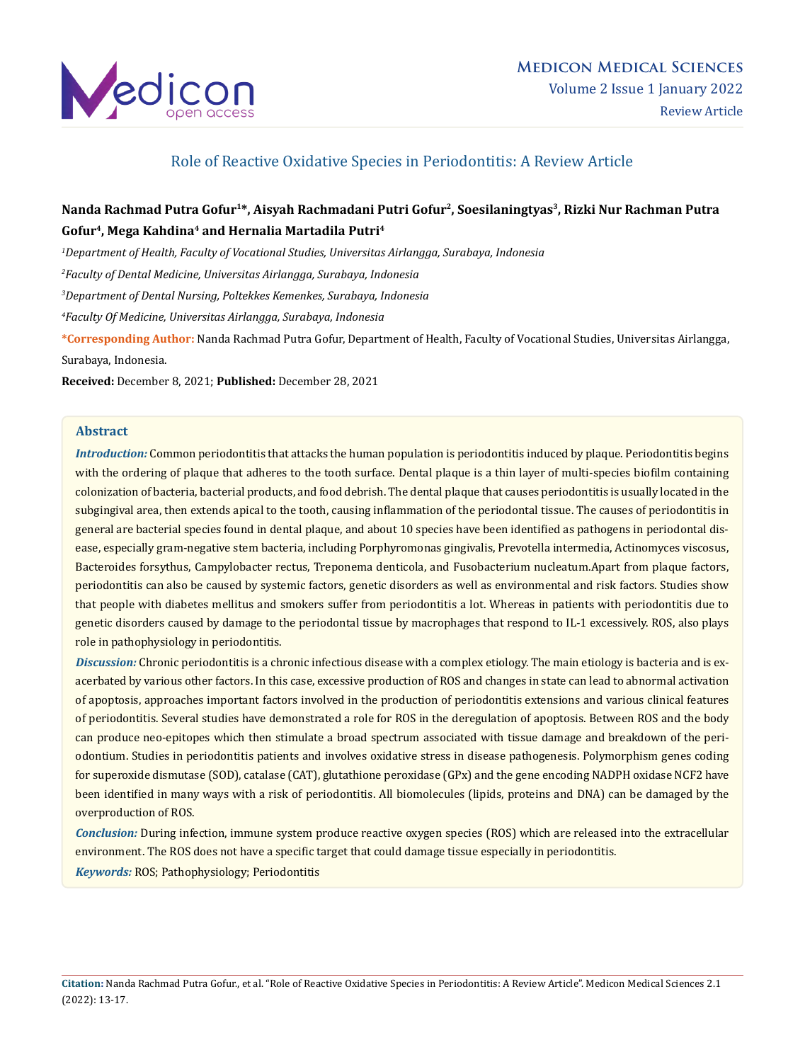

## Role of Reactive Oxidative Species in Periodontitis: A Review Article

# Nanda Rachmad Putra Gofur<sup>1\*</sup>, Aisyah Rachmadani Putri Gofur<sup>2</sup>, Soesilaningtyas<sup>3</sup>, Rizki Nur Rachman Putra **Gofur4, Mega Kahdina4 and Hernalia Martadila Putri4**

*1 Department of Health, Faculty of Vocational Studies, Universitas Airlangga, Surabaya, Indonesia*

*2 Faculty of Dental Medicine, Universitas Airlangga, Surabaya, Indonesia*

*3 Department of Dental Nursing, Poltekkes Kemenkes, Surabaya, Indonesia*

*4 Faculty Of Medicine, Universitas Airlangga, Surabaya, Indonesia*

**\*Corresponding Author:** Nanda Rachmad Putra Gofur, Department of Health, Faculty of Vocational Studies, Universitas Airlangga, Surabaya, Indonesia.

**Received:** December 8, 2021; **Published:** December 28, 2021

### **Abstract**

*Introduction:* Common periodontitis that attacks the human population is periodontitis induced by plaque. Periodontitis begins with the ordering of plaque that adheres to the tooth surface. Dental plaque is a thin layer of multi-species biofilm containing colonization of bacteria, bacterial products, and food debrish. The dental plaque that causes periodontitis is usually located in the subgingival area, then extends apical to the tooth, causing inflammation of the periodontal tissue. The causes of periodontitis in general are bacterial species found in dental plaque, and about 10 species have been identified as pathogens in periodontal disease, especially gram-negative stem bacteria, including Porphyromonas gingivalis, Prevotella intermedia, Actinomyces viscosus, Bacteroides forsythus, Campylobacter rectus, Treponema denticola, and Fusobacterium nucleatum.Apart from plaque factors, periodontitis can also be caused by systemic factors, genetic disorders as well as environmental and risk factors. Studies show that people with diabetes mellitus and smokers suffer from periodontitis a lot. Whereas in patients with periodontitis due to genetic disorders caused by damage to the periodontal tissue by macrophages that respond to IL-1 excessively. ROS, also plays role in pathophysiology in periodontitis.

*Discussion:* Chronic periodontitis is a chronic infectious disease with a complex etiology. The main etiology is bacteria and is exacerbated by various other factors. In this case, excessive production of ROS and changes in state can lead to abnormal activation of apoptosis, approaches important factors involved in the production of periodontitis extensions and various clinical features of periodontitis. Several studies have demonstrated a role for ROS in the deregulation of apoptosis. Between ROS and the body can produce neo-epitopes which then stimulate a broad spectrum associated with tissue damage and breakdown of the periodontium. Studies in periodontitis patients and involves oxidative stress in disease pathogenesis. Polymorphism genes coding for superoxide dismutase (SOD), catalase (CAT), glutathione peroxidase (GPx) and the gene encoding NADPH oxidase NCF2 have been identified in many ways with a risk of periodontitis. All biomolecules (lipids, proteins and DNA) can be damaged by the overproduction of ROS.

*Conclusion:* During infection, immune system produce reactive oxygen species (ROS) which are released into the extracellular environment. The ROS does not have a specific target that could damage tissue especially in periodontitis. *Keywords:* ROS; Pathophysiology; Periodontitis

**Citation:** Nanda Rachmad Putra Gofur., et al. "Role of Reactive Oxidative Species in Periodontitis: A Review Article". Medicon Medical Sciences 2.1 (2022): 13-17.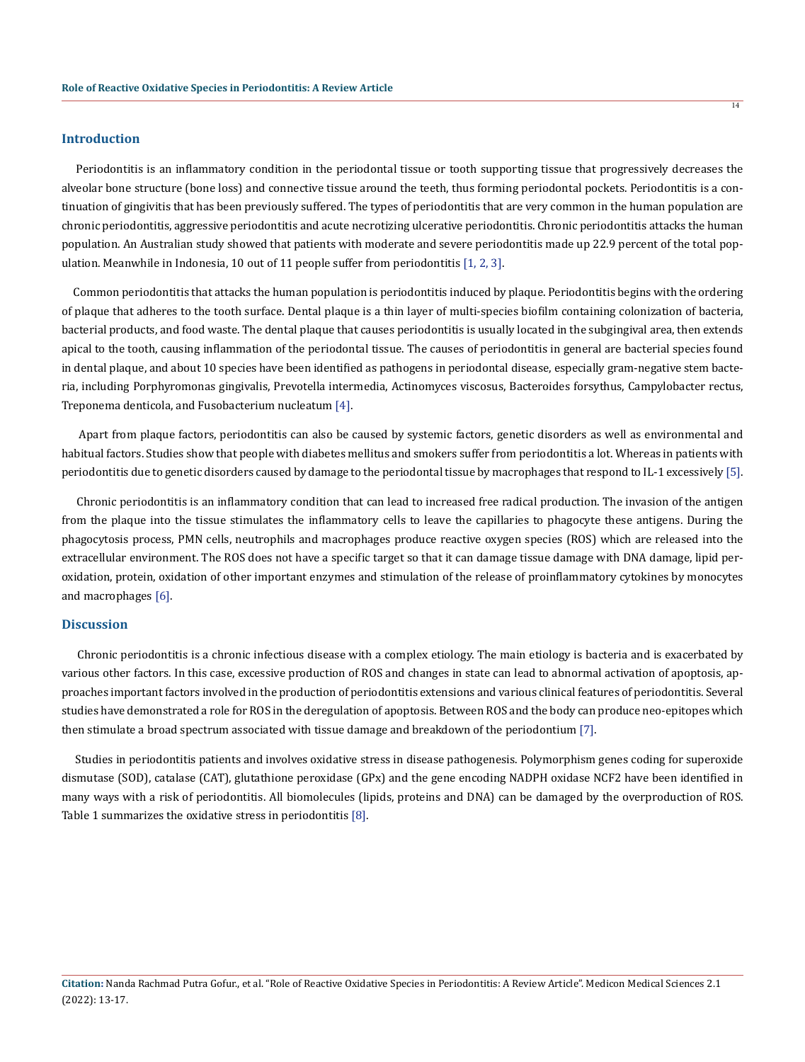## **Introduction**

 Periodontitis is an inflammatory condition in the periodontal tissue or tooth supporting tissue that progressively decreases the alveolar bone structure (bone loss) and connective tissue around the teeth, thus forming periodontal pockets. Periodontitis is a continuation of gingivitis that has been previously suffered. The types of periodontitis that are very common in the human population are chronic periodontitis, aggressive periodontitis and acute necrotizing ulcerative periodontitis. Chronic periodontitis attacks the human population. An Australian study showed that patients with moderate and severe periodontitis made up 22.9 percent of the total population. Meanwhile in Indonesia, 10 out of 11 people suffer from periodontitis [1, 2, 3].

 Common periodontitis that attacks the human population is periodontitis induced by plaque. Periodontitis begins with the ordering of plaque that adheres to the tooth surface. Dental plaque is a thin layer of multi-species biofilm containing colonization of bacteria, bacterial products, and food waste. The dental plaque that causes periodontitis is usually located in the subgingival area, then extends apical to the tooth, causing inflammation of the periodontal tissue. The causes of periodontitis in general are bacterial species found in dental plaque, and about 10 species have been identified as pathogens in periodontal disease, especially gram-negative stem bacteria, including Porphyromonas gingivalis, Prevotella intermedia, Actinomyces viscosus, Bacteroides forsythus, Campylobacter rectus, Treponema denticola, and Fusobacterium nucleatum [4].

 Apart from plaque factors, periodontitis can also be caused by systemic factors, genetic disorders as well as environmental and habitual factors. Studies show that people with diabetes mellitus and smokers suffer from periodontitis a lot. Whereas in patients with periodontitis due to genetic disorders caused by damage to the periodontal tissue by macrophages that respond to IL-1 excessively [5].

 Chronic periodontitis is an inflammatory condition that can lead to increased free radical production. The invasion of the antigen from the plaque into the tissue stimulates the inflammatory cells to leave the capillaries to phagocyte these antigens. During the phagocytosis process, PMN cells, neutrophils and macrophages produce reactive oxygen species (ROS) which are released into the extracellular environment. The ROS does not have a specific target so that it can damage tissue damage with DNA damage, lipid peroxidation, protein, oxidation of other important enzymes and stimulation of the release of proinflammatory cytokines by monocytes and macrophages [6].

#### **Discussion**

 Chronic periodontitis is a chronic infectious disease with a complex etiology. The main etiology is bacteria and is exacerbated by various other factors. In this case, excessive production of ROS and changes in state can lead to abnormal activation of apoptosis, approaches important factors involved in the production of periodontitis extensions and various clinical features of periodontitis. Several studies have demonstrated a role for ROS in the deregulation of apoptosis. Between ROS and the body can produce neo-epitopes which then stimulate a broad spectrum associated with tissue damage and breakdown of the periodontium [7].

 Studies in periodontitis patients and involves oxidative stress in disease pathogenesis. Polymorphism genes coding for superoxide dismutase (SOD), catalase (CAT), glutathione peroxidase (GPx) and the gene encoding NADPH oxidase NCF2 have been identified in many ways with a risk of periodontitis. All biomolecules (lipids, proteins and DNA) can be damaged by the overproduction of ROS. Table 1 summarizes the oxidative stress in periodontitis [8].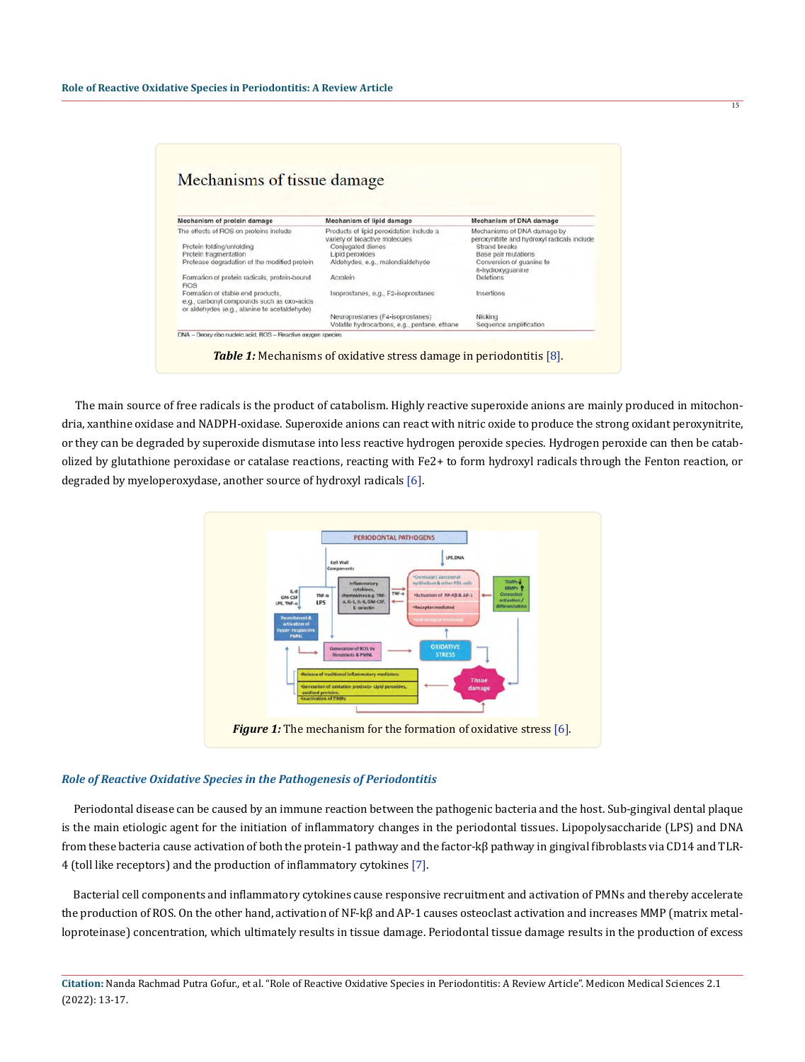| Mechanisms of tissue damage                                                                                                     |                                                                            |                                                                            |
|---------------------------------------------------------------------------------------------------------------------------------|----------------------------------------------------------------------------|----------------------------------------------------------------------------|
|                                                                                                                                 |                                                                            |                                                                            |
|                                                                                                                                 |                                                                            |                                                                            |
|                                                                                                                                 |                                                                            |                                                                            |
| Mechanism of protein damage                                                                                                     | Mechanism of lipid damage                                                  | Mechanism of DNA damage                                                    |
| The effects of ROS on proteins include                                                                                          | Products of lipid peroxidation include a<br>variety of bioactive molecules | Mechanisms of DNA damage by<br>peroxynitrite and hydroxyl radicals include |
| Protein folding/unfolding                                                                                                       | Conjugated dienes                                                          | Strand breaks                                                              |
| Protein fragmentation                                                                                                           | Lipid peroxides                                                            | Base pair mutations                                                        |
| Protease degradation of the modified protein                                                                                    | Aldehydes, e.g., malondialdehyde                                           | Conversion of guanine to<br>8-hydroxyguanine                               |
| Formation of protein radicals, protein-bound<br><b>ROS</b>                                                                      | Acrolein                                                                   | Deletions                                                                  |
| Formation of stable end products.<br>e.g., carbonyl compounds such as oxo-acids<br>or aldehydes (e.g., alanine to acetaldehyde) | Isoprostanes, e.g., F2-isoprostanes                                        | Insertions                                                                 |
|                                                                                                                                 | Neuroprostanes (F4-isoprostanes)                                           | Nicking                                                                    |
|                                                                                                                                 | Volatile hydrocarbons, e.g., pentane, ethane                               | Sequence amplification                                                     |

 The main source of free radicals is the product of catabolism. Highly reactive superoxide anions are mainly produced in mitochondria, xanthine oxidase and NADPH-oxidase. Superoxide anions can react with nitric oxide to produce the strong oxidant peroxynitrite, or they can be degraded by superoxide dismutase into less reactive hydrogen peroxide species. Hydrogen peroxide can then be catabolized by glutathione peroxidase or catalase reactions, reacting with Fe2+ to form hydroxyl radicals through the Fenton reaction, or degraded by myeloperoxydase, another source of hydroxyl radicals [6].



#### *Role of Reactive Oxidative Species in the Pathogenesis of Periodontitis*

 Periodontal disease can be caused by an immune reaction between the pathogenic bacteria and the host. Sub-gingival dental plaque is the main etiologic agent for the initiation of inflammatory changes in the periodontal tissues. Lipopolysaccharide (LPS) and DNA from these bacteria cause activation of both the protein-1 pathway and the factor-kβ pathway in gingival fibroblasts via CD14 and TLR-4 (toll like receptors) and the production of inflammatory cytokines [7].

 Bacterial cell components and inflammatory cytokines cause responsive recruitment and activation of PMNs and thereby accelerate the production of ROS. On the other hand, activation of NF-kβ and AP-1 causes osteoclast activation and increases MMP (matrix metalloproteinase) concentration, which ultimately results in tissue damage. Periodontal tissue damage results in the production of excess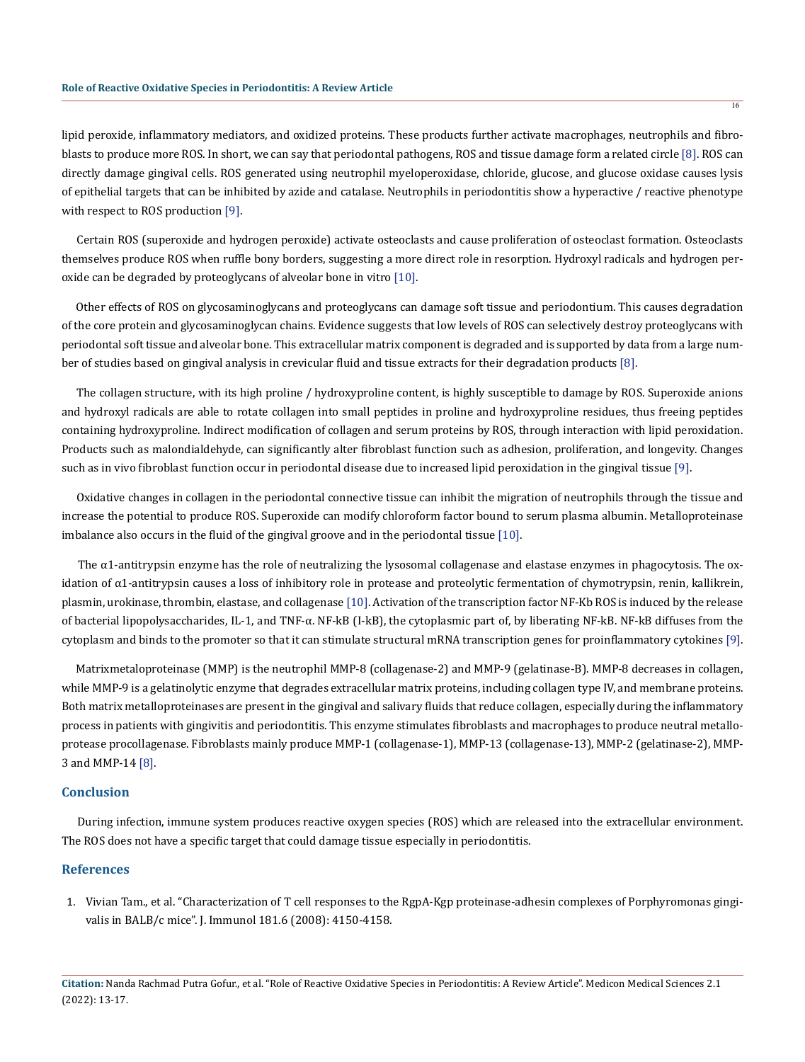16

lipid peroxide, inflammatory mediators, and oxidized proteins. These products further activate macrophages, neutrophils and fibroblasts to produce more ROS. In short, we can say that periodontal pathogens, ROS and tissue damage form a related circle [8]. ROS can directly damage gingival cells. ROS generated using neutrophil myeloperoxidase, chloride, glucose, and glucose oxidase causes lysis of epithelial targets that can be inhibited by azide and catalase. Neutrophils in periodontitis show a hyperactive / reactive phenotype with respect to ROS production [9].

 Certain ROS (superoxide and hydrogen peroxide) activate osteoclasts and cause proliferation of osteoclast formation. Osteoclasts themselves produce ROS when ruffle bony borders, suggesting a more direct role in resorption. Hydroxyl radicals and hydrogen peroxide can be degraded by proteoglycans of alveolar bone in vitro [10].

 Other effects of ROS on glycosaminoglycans and proteoglycans can damage soft tissue and periodontium. This causes degradation of the core protein and glycosaminoglycan chains. Evidence suggests that low levels of ROS can selectively destroy proteoglycans with periodontal soft tissue and alveolar bone. This extracellular matrix component is degraded and is supported by data from a large number of studies based on gingival analysis in crevicular fluid and tissue extracts for their degradation products [8].

 The collagen structure, with its high proline / hydroxyproline content, is highly susceptible to damage by ROS. Superoxide anions and hydroxyl radicals are able to rotate collagen into small peptides in proline and hydroxyproline residues, thus freeing peptides containing hydroxyproline. Indirect modification of collagen and serum proteins by ROS, through interaction with lipid peroxidation. Products such as malondialdehyde, can significantly alter fibroblast function such as adhesion, proliferation, and longevity. Changes such as in vivo fibroblast function occur in periodontal disease due to increased lipid peroxidation in the gingival tissue [9].

 Oxidative changes in collagen in the periodontal connective tissue can inhibit the migration of neutrophils through the tissue and increase the potential to produce ROS. Superoxide can modify chloroform factor bound to serum plasma albumin. Metalloproteinase imbalance also occurs in the fluid of the gingival groove and in the periodontal tissue [10].

The  $\alpha$ 1-antitrypsin enzyme has the role of neutralizing the lysosomal collagenase and elastase enzymes in phagocytosis. The oxidation of α1-antitrypsin causes a loss of inhibitory role in protease and proteolytic fermentation of chymotrypsin, renin, kallikrein, plasmin, urokinase, thrombin, elastase, and collagenase [10]. Activation of the transcription factor NF-Kb ROS is induced by the release of bacterial lipopolysaccharides, IL-1, and TNF-α. NF-kB (I-kB), the cytoplasmic part of, by liberating NF-kB. NF-kB diffuses from the cytoplasm and binds to the promoter so that it can stimulate structural mRNA transcription genes for proinflammatory cytokines [9].

 Matrixmetaloproteinase (MMP) is the neutrophil MMP-8 (collagenase-2) and MMP-9 (gelatinase-B). MMP-8 decreases in collagen, while MMP-9 is a gelatinolytic enzyme that degrades extracellular matrix proteins, including collagen type IV, and membrane proteins. Both matrix metalloproteinases are present in the gingival and salivary fluids that reduce collagen, especially during the inflammatory process in patients with gingivitis and periodontitis. This enzyme stimulates fibroblasts and macrophages to produce neutral metalloprotease procollagenase. Fibroblasts mainly produce MMP-1 (collagenase-1), MMP-13 (collagenase-13), MMP-2 (gelatinase-2), MMP-3 and MMP-14 [8].

#### **Conclusion**

 During infection, immune system produces reactive oxygen species (ROS) which are released into the extracellular environment. The ROS does not have a specific target that could damage tissue especially in periodontitis.

### **References**

1. [Vivian Tam., et al. "Characterization of T cell responses to the RgpA-Kgp proteinase-adhesin complexes of Porphyromonas gingi](https://pubmed.ncbi.nlm.nih.gov/18768872/)[valis in BALB/c mice". J. Immunol 181.6 \(2008\): 4150-4158.](https://pubmed.ncbi.nlm.nih.gov/18768872/)

**Citation:** Nanda Rachmad Putra Gofur., et al. "Role of Reactive Oxidative Species in Periodontitis: A Review Article". Medicon Medical Sciences 2.1 (2022): 13-17.